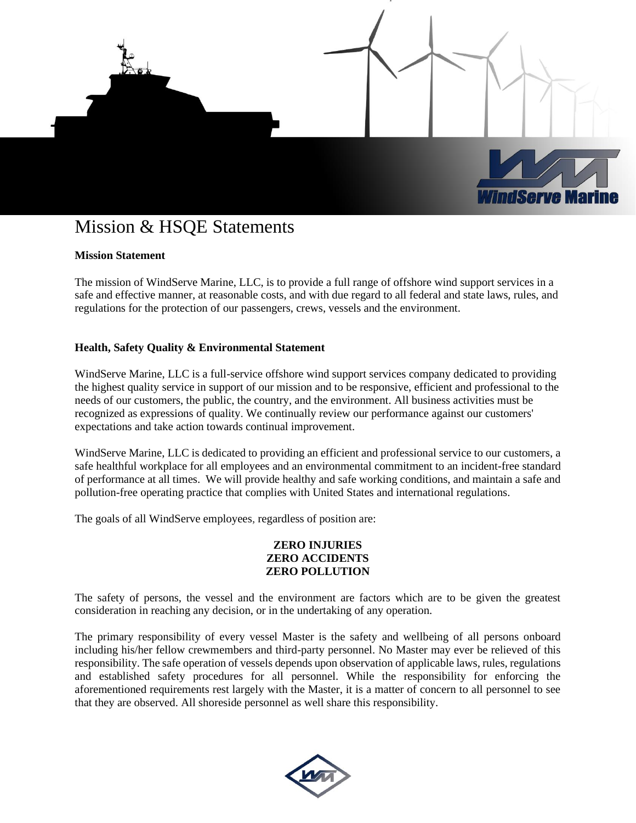

# Mission & HSQE Statements

## **Mission Statement**

The mission of WindServe Marine, LLC, is to provide a full range of offshore wind support services in a safe and effective manner, at reasonable costs, and with due regard to all federal and state laws, rules, and regulations for the protection of our passengers, crews, vessels and the environment.

## **Health, Safety Quality & Environmental Statement**

WindServe Marine, LLC is a full-service offshore wind support services company dedicated to providing the highest quality service in support of our mission and to be responsive, efficient and professional to the needs of our customers, the public, the country, and the environment. All business activities must be recognized as expressions of quality. We continually review our performance against our customers' expectations and take action towards continual improvement.

WindServe Marine, LLC is dedicated to providing an efficient and professional service to our customers, a safe healthful workplace for all employees and an environmental commitment to an incident-free standard of performance at all times. We will provide healthy and safe working conditions, and maintain a safe and pollution-free operating practice that complies with United States and international regulations.

The goals of all WindServe employees, regardless of position are:

## **ZERO INJURIES ZERO ACCIDENTS ZERO POLLUTION**

The safety of persons, the vessel and the environment are factors which are to be given the greatest consideration in reaching any decision, or in the undertaking of any operation.

The primary responsibility of every vessel Master is the safety and wellbeing of all persons onboard including his/her fellow crewmembers and third-party personnel. No Master may ever be relieved of this responsibility. The safe operation of vessels depends upon observation of applicable laws, rules, regulations and established safety procedures for all personnel. While the responsibility for enforcing the aforementioned requirements rest largely with the Master, it is a matter of concern to all personnel to see that they are observed. All shoreside personnel as well share this responsibility.